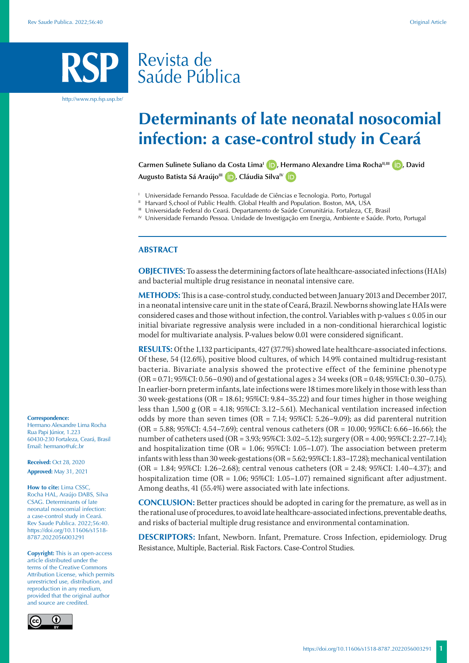# Revista de Saúde Pública

http://www.rsp.fsp.usp.br/

# **Determinants of late neonatal nosocomial infection: a case-control study in Ceará**

Carmen Sulinete Suliano da Costa Lima<sup>l</sup> (D)[,](https://orcid.org/0000-0003-2700-9913) Hermano Alexandre Lima Rocha<sup>II[,](https://orcid.org/0000-0001-9096-0969)III</sup> (D), David Augusto Batista Sá Araújo<sup>III</sup> **(D)**[,](https://orcid.org/0000-0003-4082-1842) Cláudia Silva<sup>IV</sup> **(D)** 

- <sup>1</sup> Universidade Fernando Pessoa. Faculdade de Ciências e Tecnologia. Porto, Portugal II Harvard S,chool of Public Health. Global Health and Population. Boston, MA, USA
- 
- III Universidade Federal do Ceará. Departamento de Saúde Comunitária. Fortaleza, CE, Brasil
- IV Universidade Fernando Pessoa. Unidade de Investigação em Energia, Ambiente e Saúde. Porto, Portugal

### **ABSTRACT**

**OBJECTIVES:** To assess the determining factors of late healthcare-associated infections (HAIs) and bacterial multiple drug resistance in neonatal intensive care.

**METHODS:** This is a case-control study, conducted between January 2013 and December 2017, in a neonatal intensive care unit in the state of Ceará, Brazil. Newborns showing late HAIs were considered cases and those without infection, the control. Variables with p-values ≤ 0.05 in our initial bivariate regressive analysis were included in a non-conditional hierarchical logistic model for multivariate analysis. P-values below 0.01 were considered significant.

**RESULTS:** Of the 1,132 participants, 427 (37.7%) showed late healthcare-associated infections. Of these, 54 (12.6%), positive blood cultures, of which 14.9% contained multidrug-resistant bacteria. Bivariate analysis showed the protective effect of the feminine phenotype (OR = 0.71; 95%CI: 0.56–0.90) and of gestational ages ≥ 34 weeks (OR = 0.48; 95%CI: 0.30–0.75). In earlier-born preterm infants, late infections were 18 times more likely in those with less than 30 week-gestations (OR = 18.61; 95%CI: 9.84–35.22) and four times higher in those weighing less than 1,500 g (OR = 4.18; 95%CI: 3.12–5.61). Mechanical ventilation increased infection odds by more than seven times (OR = 7.14;  $95\%$ CI: 5.26–9.09); as did parenteral nutrition (OR = 5.88; 95%CI: 4.54–7.69); central venous catheters (OR = 10.00; 95%CI: 6.66–16.66); the number of catheters used (OR = 3.93; 95%CI: 3.02–5.12); surgery (OR = 4.00; 95%CI: 2.27–7.14); and hospitalization time  $(OR = 1.06; 95\% CI: 1.05-1.07)$ . The association between preterm infants with less than 30 week-gestations (OR = 5.62; 95%CI: 1.83–17.28); mechanical ventilation (OR = 1.84; 95%CI: 1.26–2.68); central venous catheters (OR = 2.48; 95%CI: 1.40–4.37); and hospitalization time (OR = 1.06; 95%CI: 1.05–1.07) remained significant after adjustment. Among deaths, 41 (55.4%) were associated with late infections.

**CONCLUSION:** Better practices should be adopted in caring for the premature, as well as in the rational use of procedures, to avoid late healthcare-associated infections, preventable deaths, and risks of bacterial multiple drug resistance and environmental contamination.

**DESCRIPTORS:** Infant, Newborn. Infant, Premature. Cross Infection, epidemiology. Drug Resistance, Multiple, Bacterial. Risk Factors. Case-Control Studies.

#### **Correspondence:**

Hermano Alexandre Lima Rocha Rua Papi Júnior, 1.223 60430-230 Fortaleza, Ceará, Brasil Email: hermano@ufc.br

**Received:** Oct 28, 2020 **Approved:** May 31, 2021

**How to cite:** Lima CSSC, Rocha HAL, Araújo DABS, Silva CSAG. Determinants of late neonatal nosocomial infection: a case-control study in Ceará. Rev Saude Publica. 2022;56:40. https://doi.org/10.11606/s1518- 8787.2022056003291

**Copyright:** This is an open-access article distributed under the terms of the Creative Commons Attribution License, which permits unrestricted use, distribution, and reproduction in any medium, provided that the original author and source are credited.

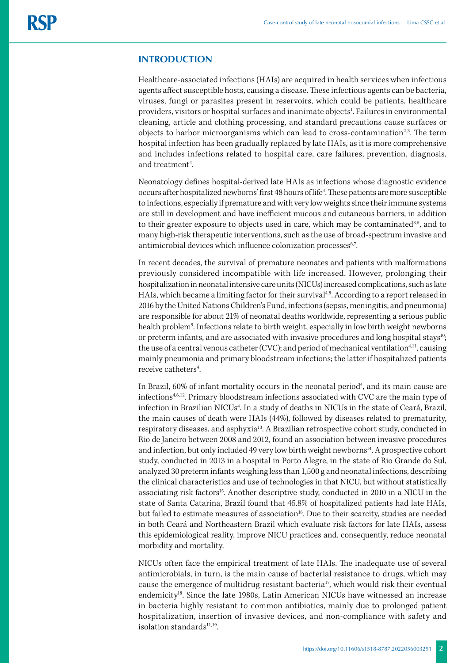# **INTRODUCTION**

Healthcare-associated infections (HAIs) are acquired in health services when infectious agents affect susceptible hosts, causing a disease. These infectious agents can be bacteria, viruses, fungi or parasites present in reservoirs, which could be patients, healthcare providers, visitors or hospital surfaces and inanimate objects<sup>1</sup>. Failures in environmental cleaning, article and clothing processing, and standard precautions cause surfaces or objects to harbor microorganisms which can lead to cross-contamination<sup>2,3</sup>. The term hospital infection has been gradually replaced by late HAIs, as it is more comprehensive and includes infections related to hospital care, care failures, prevention, diagnosis, and treatment4 .

Neonatology defines hospital-derived late HAIs as infections whose diagnostic evidence occurs after hospitalized newborns' first 48 hours of life4 . These patients are more susceptible to infections, especially if premature and with very low weights since their immune systems are still in development and have inefficient mucous and cutaneous barriers, in addition to their greater exposure to objects used in care, which may be contaminated<sup>3,5</sup>, and to many high-risk therapeutic interventions, such as the use of broad-spectrum invasive and antimicrobial devices which influence colonization processes<sup>6,7</sup>.

In recent decades, the survival of premature neonates and patients with malformations previously considered incompatible with life increased. However, prolonging their hospitalization in neonatal intensive care units (NICUs) increased complications, such as late HAIs, which became a limiting factor for their survival<sup>4,8</sup>. According to a report released in 2016 by the United Nations Children's Fund, infections (sepsis, meningitis, and pneumonia) are responsible for about 21% of neonatal deaths worldwide, representing a serious public health problem<sup>9</sup>. Infections relate to birth weight, especially in low birth weight newborns or preterm infants, and are associated with invasive procedures and long hospital stays<sup>10</sup>; the use of a central venous catheter (CVC); and period of mechanical ventilation<sup>4,11</sup>, causing mainly pneumonia and primary bloodstream infections; the latter if hospitalized patients receive catheters<sup>4</sup>. .

In Brazil, 60% of infant mortality occurs in the neonatal period<sup>4</sup>, and its main cause are infections4,6,12. Primary bloodstream infections associated with CVC are the main type of infection in Brazilian NICUs<sup>4</sup>. In a study of deaths in NICUs in the state of Ceará, Brazil, the main causes of death were HAIs (44%), followed by diseases related to prematurity, respiratory diseases, and asphyxia<sup>13</sup>. A Brazilian retrospective cohort study, conducted in Rio de Janeiro between 2008 and 2012, found an association between invasive procedures and infection, but only included 49 very low birth weight newborns<sup>14</sup>. A prospective cohort study, conducted in 2013 in a hospital in Porto Alegre, in the state of Rio Grande do Sul, analyzed 30 preterm infants weighing less than 1,500 g and neonatal infections, describing the clinical characteristics and use of technologies in that NICU, but without statistically associating risk factors<sup>15</sup>. Another descriptive study, conducted in 2010 in a NICU in the state of Santa Catarina, Brazil found that 45.8% of hospitalized patients had late HAIs, but failed to estimate measures of association<sup>16</sup>. Due to their scarcity, studies are needed in both Ceará and Northeastern Brazil which evaluate risk factors for late HAIs, assess this epidemiological reality, improve NICU practices and, consequently, reduce neonatal morbidity and mortality.

NICUs often face the empirical treatment of late HAIs. The inadequate use of several antimicrobials, in turn, is the main cause of bacterial resistance to drugs, which may cause the emergence of multidrug-resistant bacteria<sup>17</sup>, which would risk their eventual endemicity<sup>18</sup>. Since the late 1980s, Latin American NICUs have witnessed an increase in bacteria highly resistant to common antibiotics, mainly due to prolonged patient hospitalization, insertion of invasive devices, and non-compliance with safety and isolation standard $s<sup>11,19</sup>$ .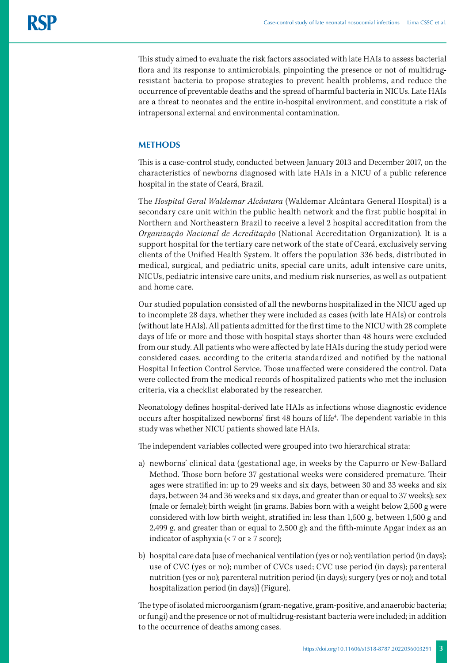This study aimed to evaluate the risk factors associated with late HAIs to assess bacterial flora and its response to antimicrobials, pinpointing the presence or not of multidrugresistant bacteria to propose strategies to prevent health problems, and reduce the occurrence of preventable deaths and the spread of harmful bacteria in NICUs. Late HAIs are a threat to neonates and the entire in-hospital environment, and constitute a risk of intrapersonal external and environmental contamination.

# **METHODS**

This is a case-control study, conducted between January 2013 and December 2017, on the characteristics of newborns diagnosed with late HAIs in a NICU of a public reference hospital in the state of Ceará, Brazil.

The *Hospital Geral Waldemar Alcântara* (Waldemar Alcântara General Hospital) is a secondary care unit within the public health network and the first public hospital in Northern and Northeastern Brazil to receive a level 2 hospital accreditation from the *Organização Nacional de Acreditação* (National Accreditation Organization). It is a support hospital for the tertiary care network of the state of Ceará, exclusively serving clients of the Unified Health System. It offers the population 336 beds, distributed in medical, surgical, and pediatric units, special care units, adult intensive care units, NICUs, pediatric intensive care units, and medium risk nurseries, as well as outpatient and home care.

Our studied population consisted of all the newborns hospitalized in the NICU aged up to incomplete 28 days, whether they were included as cases (with late HAIs) or controls (without late HAIs). All patients admitted for the first time to the NICU with 28 complete days of life or more and those with hospital stays shorter than 48 hours were excluded from our study. All patients who were affected by late HAIs during the study period were considered cases, according to the criteria standardized and notified by the national Hospital Infection Control Service. Those unaffected were considered the control. Data were collected from the medical records of hospitalized patients who met the inclusion criteria, via a checklist elaborated by the researcher.

Neonatology defines hospital-derived late HAIs as infections whose diagnostic evidence occurs after hospitalized newborns' first 48 hours of life<sup>4</sup>. The dependent variable in this study was whether NICU patients showed late HAIs.

The independent variables collected were grouped into two hierarchical strata:

- a) newborns' clinical data (gestational age, in weeks by the Capurro or New-Ballard Method. Those born before 37 gestational weeks were considered premature. Their ages were stratified in: up to 29 weeks and six days, between 30 and 33 weeks and six days, between 34 and 36 weeks and six days, and greater than or equal to 37 weeks); sex (male or female); birth weight (in grams. Babies born with a weight below 2,500 g were considered with low birth weight, stratified in: less than 1,500 g, between 1,500 g and 2,499 g, and greater than or equal to 2,500 g); and the fifth-minute Apgar index as an indicator of asphyxia (<  $7$  or  $\geq 7$  score);
- b) hospital care data [use of mechanical ventilation (yes or no); ventilation period (in days); use of CVC (yes or no); number of CVCs used; CVC use period (in days); parenteral nutrition (yes or no); parenteral nutrition period (in days); surgery (yes or no); and total hospitalization period (in days)] (Figure).

The type of isolated microorganism (gram-negative, gram-positive, and anaerobic bacteria; or fungi) and the presence or not of multidrug-resistant bacteria were included; in addition to the occurrence of deaths among cases.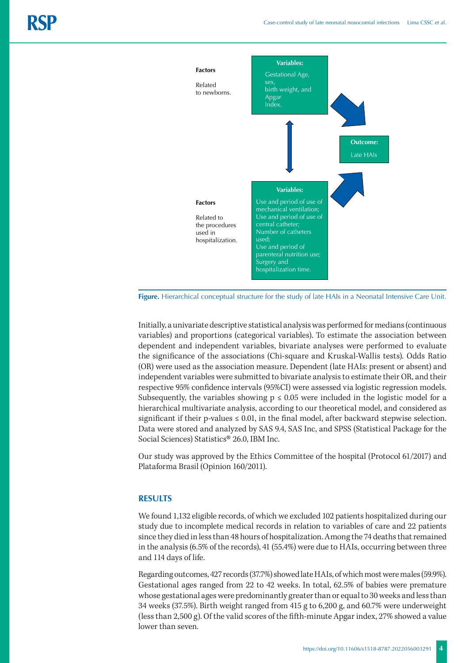

**Figure.** Hierarchical conceptual structure for the study of late HAIs in a Neonatal Intensive Care Unit.

Initially, a univariate descriptive statistical analysis was performed for medians (continuous variables) and proportions (categorical variables). To estimate the association between dependent and independent variables, bivariate analyses were performed to evaluate the significance of the associations (Chi-square and Kruskal-Wallis tests). Odds Ratio (OR) were used as the association measure. Dependent (late HAIs: present or absent) and independent variables were submitted to bivariate analysis to estimate their OR, and their respective 95% confidence intervals (95%CI) were assessed via logistic regression models. Subsequently, the variables showing  $p \leq 0.05$  were included in the logistic model for a hierarchical multivariate analysis, according to our theoretical model, and considered as significant if their p-values  $\leq 0.01$ , in the final model, after backward stepwise selection. Data were stored and analyzed by SAS 9.4, SAS Inc, and SPSS (Statistical Package for the Social Sciences) Statistics® 26.0, IBM Inc.

Our study was approved by the Ethics Committee of the hospital (Protocol 61/2017) and Plataforma Brasil (Opinion 160/2011).

### **RESULTS**

We found 1,132 eligible records, of which we excluded 102 patients hospitalized during our study due to incomplete medical records in relation to variables of care and 22 patients since they died in less than 48 hours of hospitalization. Among the 74 deaths that remained in the analysis (6.5% of the records), 41 (55.4%) were due to HAIs, occurring between three and 114 days of life.

Regarding outcomes, 427 records (37.7%) showed late HAIs, of which most were males (59.9%). Gestational ages ranged from 22 to 42 weeks. In total, 62.5% of babies were premature whose gestational ages were predominantly greater than or equal to 30 weeks and less than 34 weeks (37.5%). Birth weight ranged from 415 g to 6,200 g, and 60.7% were underweight (less than 2,500 g). Of the valid scores of the fifth-minute Apgar index, 27% showed a value lower than seven.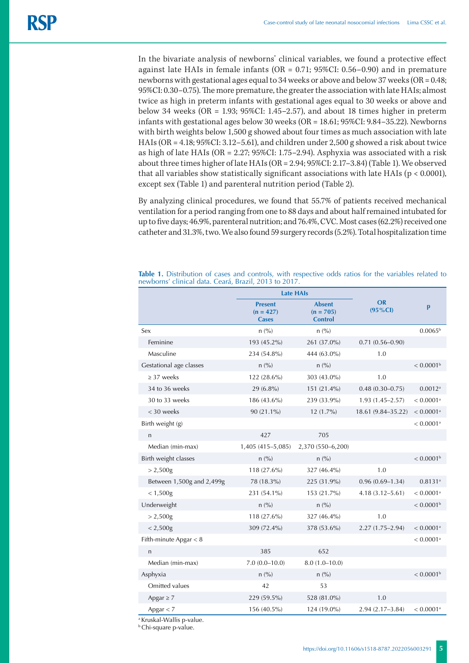In the bivariate analysis of newborns' clinical variables, we found a protective effect against late HAIs in female infants (OR = 0.71; 95%CI: 0.56–0.90) and in premature newborns with gestational ages equal to 34 weeks or above and below 37 weeks (OR = 0.48; 95%CI: 0.30–0.75). The more premature, the greater the association with late HAIs; almost twice as high in preterm infants with gestational ages equal to 30 weeks or above and below 34 weeks (OR = 1.93; 95%CI: 1.45–2.57), and about 18 times higher in preterm infants with gestational ages below 30 weeks (OR = 18.61; 95%CI: 9.84–35.22). Newborns with birth weights below 1,500 g showed about four times as much association with late HAIs (OR = 4.18; 95%CI: 3.12–5.61), and children under 2,500 g showed a risk about twice as high of late HAIs (OR = 2.27; 95%CI: 1.75–2.94). Asphyxia was associated with a risk about three times higher of late HAIs (OR = 2.94; 95%CI: 2.17–3.84) (Table 1). We observed that all variables show statistically significant associations with late HAIs (p < 0.0001), except sex (Table 1) and parenteral nutrition period (Table 2).

By analyzing clinical procedures, we found that 55.7% of patients received mechanical ventilation for a period ranging from one to 88 days and about half remained intubated for up to five days; 46.9%, parenteral nutrition; and 76.4%, CVC. Most cases (62.2%) received one catheter and 31.3%, two. We also found 59 surgery records (5.2%). Total hospitalization time

|                           | <b>Late HAIs</b>                              |                                                |                          |                         |
|---------------------------|-----------------------------------------------|------------------------------------------------|--------------------------|-------------------------|
|                           | <b>Present</b><br>$(n = 427)$<br><b>Cases</b> | <b>Absent</b><br>$(n = 705)$<br><b>Control</b> | <b>OR</b><br>$(95\% CI)$ | $\mathbf{p}$            |
| Sex                       | n (%)                                         | n (% )                                         |                          | $0.0065^{b}$            |
| Feminine                  | 193 (45.2%)                                   | 261 (37.0%)                                    | $0.71(0.56 - 0.90)$      |                         |
| Masculine                 | 234 (54.8%)                                   | 444 (63.0%)                                    | 1.0                      |                         |
| Gestational age classes   | n (%)                                         | n (%)                                          |                          | $< 0.0001$ <sup>b</sup> |
| $\geq$ 37 weeks           | 122 (28.6%)                                   | 303 (43.0%)                                    | 1.0                      |                         |
| 34 to 36 weeks            | 29 (6.8%)                                     | 151 (21.4%)                                    | $0.48(0.30 - 0.75)$      | $0.0012$ <sup>a</sup>   |
| 30 to 33 weeks            | 186 (43.6%)                                   | 239 (33.9%)                                    | $1.93(1.45 - 2.57)$      | $< 0.0001$ <sup>a</sup> |
| < 30 weeks                | 90 (21.1%)                                    | $12(1.7\%)$                                    | 18.61 (9.84-35.22)       | $< 0.0001$ <sup>a</sup> |
| Birth weight (g)          |                                               |                                                |                          | $< 0.0001$ <sup>a</sup> |
| $\mathsf{n}$              | 427                                           | 705                                            |                          |                         |
| Median (min-max)          | 1,405 (415-5,085)                             | 2,370 (550-6,200)                              |                          |                         |
| Birth weight classes      | n (% )                                        | n (%)                                          |                          | $< 0.0001$ <sup>b</sup> |
| > 2,500g                  | 118 (27.6%)                                   | 327 (46.4%)                                    | 1.0                      |                         |
| Between 1,500g and 2,499g | 78 (18.3%)                                    | 225 (31.9%)                                    | $0.96(0.69 - 1.34)$      | $0.8131^{a}$            |
| $< 1,500$ g               | 231 (54.1%)                                   | 153 (21.7%)                                    | $4.18(3.12 - 5.61)$      | $< 0.0001$ <sup>a</sup> |
| Underweight               | n (%)                                         | n (% )                                         |                          | $< 0.0001$ <sup>b</sup> |
| > 2,500g                  | 118 (27.6%)                                   | 327 (46.4%)                                    | 1.0                      |                         |
| $< 2,500$ g               | 309 (72.4%)                                   | 378 (53.6%)                                    | $2.27(1.75 - 2.94)$      | $< 0.0001$ <sup>a</sup> |
| Fifth-minute Apgar $<$ 8  |                                               |                                                |                          | $< 0.0001$ <sup>a</sup> |
| $\mathsf{n}$              | 385                                           | 652                                            |                          |                         |
| Median (min-max)          | $7.0(0.0-10.0)$                               | $8.0(1.0-10.0)$                                |                          |                         |
| Asphyxia                  | n (%)                                         | n (%)                                          |                          | $< 0.0001$ <sup>b</sup> |
| Omitted values            | 42                                            | 53                                             |                          |                         |
| Apgar $\geq$ 7            | 229 (59.5%)                                   | 528 (81.0%)                                    | 1.0                      |                         |
| Apgar $<$ 7               | 156 (40.5%)                                   | 124 (19.0%)                                    | $2.94(2.17-3.84)$        | $< 0.0001$ <sup>a</sup> |

**Table 1.** Distribution of cases and controls, with respective odds ratios for the variables related to newborns' clinical data. Ceará, Brazil, 2013 to 2017.

a Kruskal-Wallis p-value.

**b** Chi-square p-value.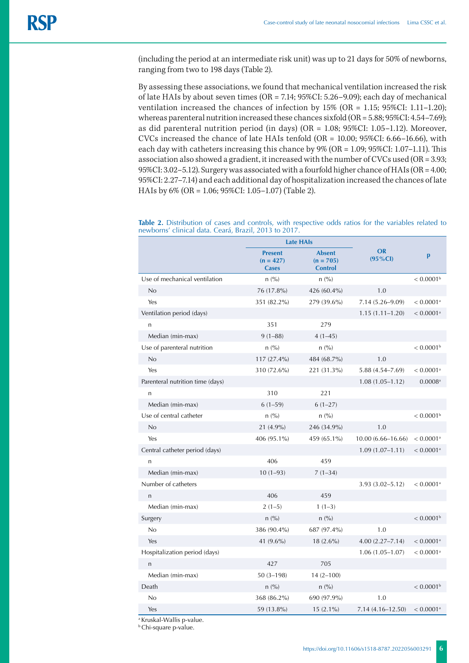(including the period at an intermediate risk unit) was up to 21 days for 50% of newborns, ranging from two to 198 days (Table 2).

By assessing these associations, we found that mechanical ventilation increased the risk of late HAIs by about seven times (OR = 7.14; 95%CI: 5.26–9.09); each day of mechanical ventilation increased the chances of infection by 15% (OR = 1.15; 95%CI: 1.11–1.20); whereas parenteral nutrition increased these chances sixfold (OR = 5.88; 95%CI: 4.54–7.69); as did parenteral nutrition period (in days) (OR = 1.08; 95%CI: 1.05–1.12). Moreover, CVCs increased the chance of late HAIs tenfold  $(OR = 10.00; 95\% CI: 6.66-16.66)$ , with each day with catheters increasing this chance by 9% (OR = 1.09; 95%CI: 1.07–1.11). This association also showed a gradient, it increased with the number of CVCs used (OR = 3.93; 95%CI: 3.02–5.12). Surgery was associated with a fourfold higher chance of HAIs (OR = 4.00; 95%CI: 2.27–7.14) and each additional day of hospitalization increased the chances of late HAIs by 6% (OR = 1.06; 95%CI: 1.05–1.07) (Table 2).

**Table 2.** Distribution of cases and controls, with respective odds ratios for the variables related to newborns' clinical data. Ceará, Brazil, 2013 to 2017.

|                                  | <b>Late HAIs</b>                              |                                                |                          |                         |
|----------------------------------|-----------------------------------------------|------------------------------------------------|--------------------------|-------------------------|
|                                  | <b>Present</b><br>$(n = 427)$<br><b>Cases</b> | <b>Absent</b><br>$(n = 705)$<br><b>Control</b> | <b>OR</b><br>$(95\% CI)$ | p                       |
| Use of mechanical ventilation    | n (%)                                         | n (%)                                          |                          | $< 0.0001$ <sup>b</sup> |
| No                               | 76 (17.8%)                                    | 426 (60.4%)                                    | 1.0                      |                         |
| Yes                              | 351 (82.2%)                                   | 279 (39.6%)                                    | 7.14 (5.26-9.09)         | $< 0.0001$ <sup>a</sup> |
| Ventilation period (days)        |                                               |                                                | $1.15(1.11 - 1.20)$      | $< 0.0001$ <sup>a</sup> |
| n                                | 351                                           | 279                                            |                          |                         |
| Median (min-max)                 | $9(1 - 88)$                                   | $4(1-45)$                                      |                          |                         |
| Use of parenteral nutrition      | n (%)                                         | n (%)                                          |                          | $< 0.0001$ <sup>b</sup> |
| No                               | 117 (27.4%)                                   | 484 (68.7%)                                    | 1.0                      |                         |
| Yes                              | 310 (72.6%)                                   | 221 (31.3%)                                    | $5.88(4.54 - 7.69)$      | $< 0.0001$ <sup>a</sup> |
| Parenteral nutrition time (days) |                                               |                                                | $1.08(1.05 - 1.12)$      | $0.0008$ <sup>a</sup>   |
| $\overline{n}$                   | 310                                           | 221                                            |                          |                         |
| Median (min-max)                 | $6(1-59)$                                     | $6(1-27)$                                      |                          |                         |
| Use of central catheter          | n (%)                                         | n (%)                                          |                          | < 0.0001 <sup>b</sup>   |
| No                               | 21 (4.9%)                                     | 246 (34.9%)                                    | 1.0                      |                         |
| Yes                              | 406 (95.1%)                                   | 459 (65.1%)                                    | $10.00(6.66 - 16.66)$    | $< 0.0001$ <sup>a</sup> |
| Central catheter period (days)   |                                               |                                                | $1.09(1.07 - 1.11)$      | $< 0.0001$ <sup>a</sup> |
| n                                | 406                                           | 459                                            |                          |                         |
| Median (min-max)                 | $10(1-93)$                                    | $7(1-34)$                                      |                          |                         |
| Number of catheters              |                                               |                                                | $3.93(3.02 - 5.12)$      | $< 0.0001$ <sup>a</sup> |
| n                                | 406                                           | 459                                            |                          |                         |
| Median (min-max)                 | $2(1-5)$                                      | $1(1-3)$                                       |                          |                         |
| Surgery                          | n (%)                                         | n (%)                                          |                          | $< 0.0001$ <sup>b</sup> |
| No                               | 386 (90.4%)                                   | 687 (97.4%)                                    | 1.0                      |                         |
| Yes                              | 41 $(9.6\%)$                                  | $18(2.6\%)$                                    | $4.00(2.27 - 7.14)$      | $< 0.0001$ <sup>a</sup> |
| Hospitalization period (days)    |                                               |                                                | $1.06(1.05 - 1.07)$      | $< 0.0001$ <sup>a</sup> |
| $\overline{n}$                   | 427                                           | 705                                            |                          |                         |
| Median (min-max)                 | $50(3-198)$                                   | $14(2 - 100)$                                  |                          |                         |
| Death                            | n (%)                                         | n (%)                                          |                          | < 0.0001 <sup>b</sup>   |
| No                               | 368 (86.2%)                                   | 690 (97.9%)                                    | 1.0                      |                         |
| Yes                              | 59 (13.8%)                                    | $15(2.1\%)$                                    | $7.14(4.16 - 12.50)$     | $< 0.0001$ <sup>a</sup> |

a Kruskal-Wallis p-value.

**b** Chi-square p-value.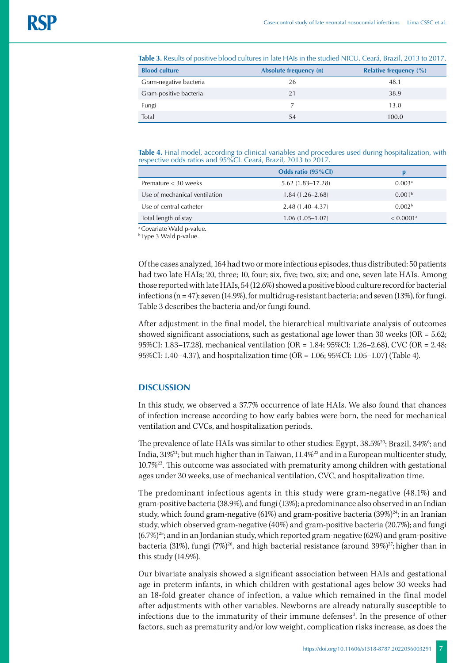**Table 3.** Results of positive blood cultures in late HAIs in the studied NICU. Ceará, Brazil, 2013 to 2017.

| <b>Blood culture</b>   | Absolute frequency (n) | <b>Relative frequency (%)</b> |
|------------------------|------------------------|-------------------------------|
| Gram-negative bacteria | 26                     | 48.1                          |
| Gram-positive bacteria | 21                     | 38.9                          |
| Fungi                  |                        | 13.0                          |
| Total                  | 54                     | 100.0                         |

**Table 4.** Final model, according to clinical variables and procedures used during hospitalization, with respective odds ratios and 95%CI. Ceará, Brazil, 2013 to 2017.

|                               | Odds ratio (95%CI)   |                         |
|-------------------------------|----------------------|-------------------------|
| Premature $<$ 30 weeks        | $5.62(1.83 - 17.28)$ | 0.003 <sup>a</sup>      |
| Use of mechanical ventilation | $1.84(1.26 - 2.68)$  | 0.001 <sup>b</sup>      |
| Use of central catheter       | 2.48 (1.40–4.37)     | 0.002 <sup>b</sup>      |
| Total length of stay          | $1.06(1.05-1.07)$    | $< 0.0001$ <sup>a</sup> |

<sup>a</sup> Covariate Wald p-value.

b Type 3 Wald p-value.

Of the cases analyzed, 164 had two or more infectious episodes, thus distributed: 50 patients had two late HAIs; 20, three; 10, four; six, five; two, six; and one, seven late HAIs. Among those reported with late HAIs, 54 (12.6%) showed a positive blood culture record for bacterial infections (n = 47); seven (14.9%), for multidrug-resistant bacteria; and seven (13%), for fungi. Table 3 describes the bacteria and/or fungi found.

After adjustment in the final model, the hierarchical multivariate analysis of outcomes showed significant associations, such as gestational age lower than 30 weeks (OR =  $5.62$ ; 95%CI: 1.83–17.28), mechanical ventilation (OR = 1.84; 95%CI: 1.26–2.68), CVC (OR = 2.48; 95%CI: 1.40–4.37), and hospitalization time (OR = 1.06; 95%CI: 1.05–1.07) (Table 4).

#### **DISCUSSION**

In this study, we observed a 37.7% occurrence of late HAIs. We also found that chances of infection increase according to how early babies were born, the need for mechanical ventilation and CVCs, and hospitalization periods.

The prevalence of late HAIs was similar to other studies: Egypt, 38.5%<sup>20</sup>; Brazil, 34%<sup>6</sup>; and India, 31%21; but much higher than in Taiwan, 11.4%22 and in a European multicenter study, 10.7%23. This outcome was associated with prematurity among children with gestational ages under 30 weeks, use of mechanical ventilation, CVC, and hospitalization time.

The predominant infectious agents in this study were gram-negative (48.1%) and gram-positive bacteria (38.9%), and fungi (13%); a predominance also observed in an Indian study, which found gram-negative (61%) and gram-positive bacteria  $(39\%)^{24}$ ; in an Iranian study, which observed gram-negative (40%) and gram-positive bacteria (20.7%); and fungi  $(6.7%)^{25}$ ; and in an Jordanian study, which reported gram-negative  $(62%)$  and gram-positive bacteria (31%), fungi (7%)<sup>26</sup>, and high bacterial resistance (around 39%)<sup>27</sup>; higher than in this study (14.9%).

Our bivariate analysis showed a significant association between HAIs and gestational age in preterm infants, in which children with gestational ages below 30 weeks had an 18-fold greater chance of infection, a value which remained in the final model after adjustments with other variables. Newborns are already naturally susceptible to infections due to the immaturity of their immune defenses<sup>3</sup>. In the presence of other factors, such as prematurity and/or low weight, complication risks increase, as does the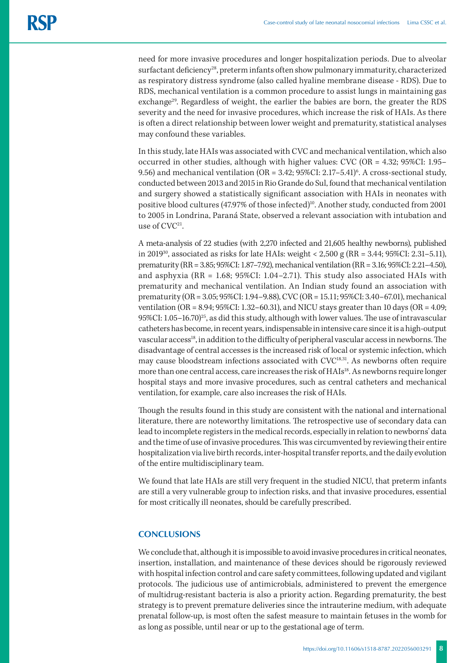need for more invasive procedures and longer hospitalization periods. Due to alveolar surfactant deficiency<sup>28</sup>, preterm infants often show pulmonary immaturity, characterized as respiratory distress syndrome (also called hyaline membrane disease - RDS). Due to RDS, mechanical ventilation is a common procedure to assist lungs in maintaining gas exchange<sup>29</sup>. Regardless of weight, the earlier the babies are born, the greater the RDS severity and the need for invasive procedures, which increase the risk of HAIs. As there is often a direct relationship between lower weight and prematurity, statistical analyses may confound these variables.

In this study, late HAIs was associated with CVC and mechanical ventilation, which also occurred in other studies, although with higher values: CVC (OR = 4.32; 95%CI: 1.95– 9.56) and mechanical ventilation (OR = 3.42; 95%CI: 2.17–5.41) $^6$ . A cross-sectional study, conducted between 2013 and 2015 in Rio Grande do Sul, found that mechanical ventilation and surgery showed a statistically significant association with HAIs in neonates with positive blood cultures (47.97% of those infected)<sup>10</sup>. Another study, conducted from 2001 to 2005 in Londrina, Paraná State, observed a relevant association with intubation and use of  $CVC^{21}$ .

A meta-analysis of 22 studies (with 2,270 infected and 21,605 healthy newborns), published in 2019<sup>30</sup>, associated as risks for late HAIs: weight < 2,500 g (RR = 3.44; 95%CI: 2.31–5.11), prematurity (RR = 3.85; 95%CI: 1.87–7.92), mechanical ventilation (RR = 3.16; 95%CI: 2.21–4.50), and asphyxia (RR =  $1.68$ ; 95%CI:  $1.04-2.71$ ). This study also associated HAIs with prematurity and mechanical ventilation. An Indian study found an association with prematurity (OR = 3.05; 95%CI: 1.94–9.88), CVC (OR = 15.11; 95%CI: 3.40–67.01), mechanical ventilation (OR = 8.94; 95%CI: 1.32–60.31), and NICU stays greater than 10 days (OR = 4.09; 95%CI:  $1.05-16.70$ <sup>25</sup>, as did this study, although with lower values. The use of intravascular catheters has become, in recent years, indispensable in intensive care since it is a high-output vascular access<sup>18</sup>, in addition to the difficulty of peripheral vascular access in newborns. The disadvantage of central accesses is the increased risk of local or systemic infection, which may cause bloodstream infections associated with CVC<sup>18,31</sup>. As newborns often require more than one central access, care increases the risk of HAIs<sup>18</sup>. As newborns require longer hospital stays and more invasive procedures, such as central catheters and mechanical ventilation, for example, care also increases the risk of HAIs.

Though the results found in this study are consistent with the national and international literature, there are noteworthy limitations. The retrospective use of secondary data can lead to incomplete registers in the medical records, especially in relation to newborns' data and the time of use of invasive procedures. This was circumvented by reviewing their entire hospitalization via live birth records, inter-hospital transfer reports, and the daily evolution of the entire multidisciplinary team.

We found that late HAIs are still very frequent in the studied NICU, that preterm infants are still a very vulnerable group to infection risks, and that invasive procedures, essential for most critically ill neonates, should be carefully prescribed.

# **CONCLUSIONS**

We conclude that, although it is impossible to avoid invasive procedures in critical neonates, insertion, installation, and maintenance of these devices should be rigorously reviewed with hospital infection control and care safety committees, following updated and vigilant protocols. The judicious use of antimicrobials, administered to prevent the emergence of multidrug-resistant bacteria is also a priority action. Regarding prematurity, the best strategy is to prevent premature deliveries since the intrauterine medium, with adequate prenatal follow-up, is most often the safest measure to maintain fetuses in the womb for as long as possible, until near or up to the gestational age of term.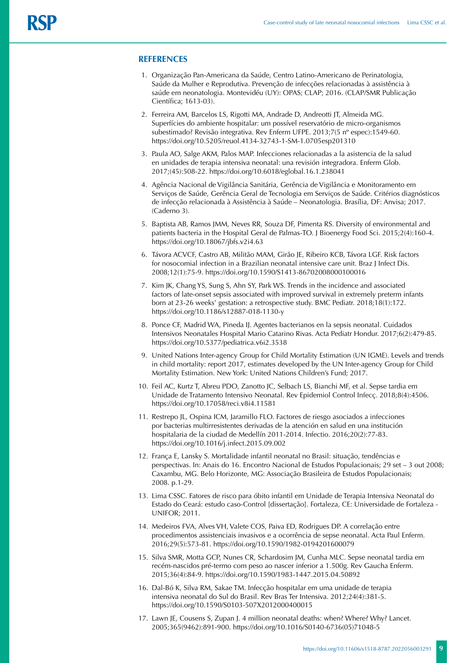#### **REFERENCES**

- 1. Organização Pan-Americana da Saúde, Centro Latino-Americano de Perinatologia, Saúde da Mulher e Reprodutiva. Prevenção de infecções relacionadas à assistência à saúde em neonatologia. Montevidéu (UY): OPAS; CLAP; 2016. (CLAP/SMR Publicação Científica; 1613-03).
- 2. Ferreira AM, Barcelos LS, Rigotti MA, Andrade D, Andreotti JT, Almeida MG. Superfícies do ambiente hospitalar: um possível reservatório de micro-organismos subestimado? Revisão integrativa. Rev Enferm UFPE. 2013;7(5 nº espec):1549-60. https://doi.org/10.5205/reuol.4134-32743-1-SM-1.0705esp201310
- 3. Paula AO, Salge AKM, Palos MAP. Infecciones relacionadas a la asistencia de la salud en unidades de terapia intensiva neonatal: una revisión integradora. Enferm Glob. 2017;(45):508-22. https://doi.org/10.6018/eglobal.16.1.238041
- 4. Agência Nacional de Vigilância Sanitária, Gerência de Vigilância e Monitoramento em Serviços de Saúde, Gerência Geral de Tecnologia em Serviços de Saúde. Critérios diagnósticos de infecção relacionada à Assistência à Saúde – Neonatologia. Brasília, DF: Anvisa; 2017. (Caderno 3).
- 5. Baptista AB, Ramos JMM, Neves RR, Souza DF, Pimenta RS. Diversity of environmental and patients bacteria in the Hospital Geral de Palmas-TO. J Bioenergy Food Sci. 2015;2(4):160-4. https://doi.org/10.18067/jbfs.v2i4.63
- 6. Távora ACVCF, Castro AB, Militão MAM, Girão JE, Ribeiro KCB, Távora LGF. Risk factors for nosocomial infection in a Brazilian neonatal intensive care unit. Braz J Infect Dis. 2008;12(1):75-9. https://doi.org/10.1590/S1413-86702008000100016
- 7. Kim JK, Chang YS, Sung S, Ahn SY, Park WS. Trends in the incidence and associated factors of late-onset sepsis associated with improved survival in extremely preterm infants born at 23-26 weeks' gestation: a retrospective study. BMC Pediatr. 2018;18(1):172. https://doi.org/10.1186/s12887-018-1130-y
- 8. Ponce CF, Madrid WA, Pineda IJ. Agentes bacterianos en la sepsis neonatal. Cuidados Intensivos Neonatales Hospital Mario Catarino Rivas. Acta Pediatr Hondur. 2017;6(2):479-85. https://doi.org/10.5377/pediatrica.v6i2.3538
- 9. United Nations Inter-agency Group for Child Mortality Estimation (UN IGME). Levels and trends in child mortality: report 2017, estimates developed by the UN Inter-agency Group for Child Mortality Estimation. New York: United Nations Children's Fund; 2017.
- 10. Feil AC, Kurtz T, Abreu PDO, Zanotto JC, Selbach LS, Bianchi MF, et al. Sepse tardia em Unidade de Tratamento Intensivo Neonatal. Rev Epidemiol Control Infecç. 2018;8(4):4506. https://doi.org/10.17058/reci.v8i4.11581
- 11. Restrepo JL, Ospina ICM, Jaramillo FLO. Factores de riesgo asociados a infecciones por bacterias multirresistentes derivadas de la atención en salud en una institución hospitalaria de la ciudad de Medellín 2011-2014. Infectio. 2016;20(2):77-83. https://doi.org/10.1016/j.infect.2015.09.002
- 12. França E, Lansky S. Mortalidade infantil neonatal no Brasil: situação, tendências e perspectivas. In: Anais do 16. Encontro Nacional de Estudos Populacionais; 29 set – 3 out 2008; Caxambu, MG. Belo Horizonte, MG: Associação Brasileira de Estudos Populacionais; 2008. p.1-29.
- 13. Lima CSSC. Fatores de risco para óbito infantil em Unidade de Terapia Intensiva Neonatal do Estado do Ceará: estudo caso-Control [dissertação]. Fortaleza, CE: Universidade de Fortaleza - UNIFOR; 2011.
- 14. Medeiros FVA, Alves VH, Valete COS, Paiva ED, Rodrigues DP. A correlação entre procedimentos assistenciais invasivos e a ocorrência de sepse neonatal. Acta Paul Enferm. 2016;29(5):573-81. <https://doi.org/10.1590/1982-0194201600079>
- 15. Silva SMR, Motta GCP, Nunes CR, Schardosim JM, Cunha MLC. Sepse neonatal tardia em recém-nascidos pré-termo com peso ao nascer inferior a 1.500g. Rev Gaucha Enferm. 2015;36(4):84-9. https://doi.org/10.1590/1983-1447.2015.04.50892
- 16. Dal-Bó K, Silva RM, Sakae TM. Infecção hospitalar em uma unidade de terapia intensiva neonatal do Sul do Brasil. Rev Bras Ter Intensiva. 2012;24(4):381-5. <https://doi.org/10.1590/S0103-507X2012000400015>
- 17. Lawn JE, Cousens S, Zupan J. 4 million neonatal deaths: when? Where? Why? Lancet. 2005;365(9462):891-900. https://doi.org/10.1016/S0140-6736(05)71048-5